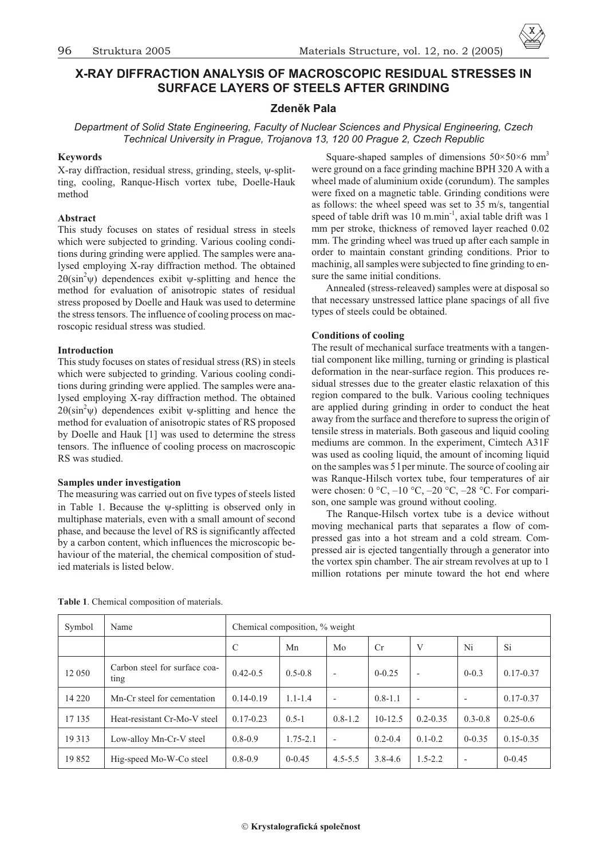# **X-RAY DIFFRACTION ANALYSIS OF MACROSCOPIC RESIDUAL STRESSES IN SURFACE LAYERS OF STEELS AFTER GRINDING**

## **Zdenìk Pala**

*Department of Solid State Engineering, Faculty of Nuclear Sciences and Physical Engineering, Czech Technical University in Prague, Trojanova 13, 120 00 Prague 2, Czech Republic*

## **Keywords**

X-ray diffraction, residual stress, grinding, steels, -splitting, cooling, Ranque-Hisch vortex tube, Doelle-Hauk method

## **Ab stract**

This study focuses on states of residual stress in steels which were subjected to grinding. Various cooling conditions during grinding were applied. The samples were analysed employing X-ray diffraction method. The obtained 2  $(\sin^2 \theta)$  dependences exibit -splitting and hence the method for evaluation of anisotropic states of residual stress proposed by Doelle and Hauk was used to determine the stress tensors. The influence of cooling process on macroscopic residual stress was studied.

## **Introduction**

This study focuses on states of residual stress (RS) in steels which were subjected to grinding. Various cooling conditions during grinding were applied. The samples were analysed employing X-ray diffraction method. The obtained 2  $(\sin^2 \theta)$  dependences exibit -splitting and hence the method for evaluation of anisotropic states of RS proposed by Doelle and Hauk [1] was used to determine the stress tensors. The influence of cooling process on macroscopic RS was studied.

## **Samples under investigation**

The measuring was carried out on five types of steels listed in Table 1. Because the -splitting is observed only in multiphase materials, even with a small amount of second phase, and because the level of RS is significantly affected by a carbon content, which influences the microscopic behaviour of the material, the chemical composition of studied materials is listed below.

Square-shaped samples of dimensions  $50\times50\times6$  mm<sup>3</sup> were ground on a face grinding machine BPH 320 A with a wheel made of aluminium oxide (corundum). The samples were fixed on a magnetic table. Grinding conditions were as follows: the wheel speed was set to  $35$  m/s, tangential speed of table drift was 10 m.min<sup>-1</sup>, axial table drift was 1 mm per stroke, thickness of removed layer reached 0.02 mm. The grinding wheel was trued up after each sample in order to maintain constant grinding conditions. Prior to machinig, all samples were subjected to fine grinding to ensure the same initial conditions.

Annealed (stress-releaved) samples were at disposal so that necessary unstressed lattice plane spacings of all five types of steels could be obtained.

## **Conditions** of cooling

The result of mechanical surface treatments with a tangential component like milling, turning or grinding is plastical deformation in the near-surface region. This produces residual stresses due to the greater elastic relaxation of this region compared to the bulk. Various cooling techniques are applied during grinding in order to conduct the heat away from the surface and therefore to supress the origin of tensile stress in materials. Both gaseous and liquid cooling mediums are common. In the experiment, Cimtech A31F was used as cooling liquid, the amount of incoming liquid on the samples was 5 l per minute. The source of cooling air was Ranque-Hilsch vortex tube, four temperatures of air were chosen:  $0 °C$ ,  $-10 °C$ ,  $-20 °C$ ,  $-28 °C$ . For comparison, one sample was ground without cooling.

The Ranque-Hilsch vortex tube is a device without moving mechanical parts that separates a flow of compressed gas into a hot stream and a cold stream. Compressed air is ejected tangentially through a generator into the vortex spin chamber. The air stream revolves at up to 1 million rotations per minute toward the hot end where

| Symbol  | Name                                  | Chemical composition, % weight |              |                          |             |                          |                          |               |
|---------|---------------------------------------|--------------------------------|--------------|--------------------------|-------------|--------------------------|--------------------------|---------------|
|         |                                       | $\mathcal{C}$                  | Mn           | Mo                       | Cr          | V                        | Ni                       | Si            |
| 12 050  | Carbon steel for surface coa-<br>ting | $0.42 - 0.5$                   | $0.5 - 0.8$  | $\overline{a}$           | $0 - 0.25$  | $\overline{\phantom{a}}$ | $0 - 0.3$                | $0.17 - 0.37$ |
| 14 2 20 | Mn-Cr steel for cementation           | $0.14 - 0.19$                  | $1.1 - 1.4$  | $\overline{\phantom{a}}$ | $0.8 - 1.1$ |                          | $\overline{\phantom{a}}$ | $0.17 - 0.37$ |
| 17 135  | Heat-resistant Cr-Mo-V steel          | $0.17 - 0.23$                  | $0.5 - 1$    | $0.8 - 1.2$              | $10-12.5$   | $0.2 - 0.35$             | $0.3 - 0.8$              | $0.25 - 0.6$  |
| 19 3 13 | Low-alloy Mn-Cr-V steel               | $0.8 - 0.9$                    | $1.75 - 2.1$ | $\overline{a}$           | $0.2 - 0.4$ | $0.1 - 0.2$              | $0 - 0.35$               | $0.15 - 0.35$ |
| 19852   | Hig-speed Mo-W-Co steel               | $0.8 - 0.9$                    | $0 - 0.45$   | $4.5 - 5.5$              | $3.8 - 4.6$ | $1.5 - 2.2$              | $\overline{\phantom{a}}$ | $0 - 0.45$    |

**Table 1**. Chemical composition of materials.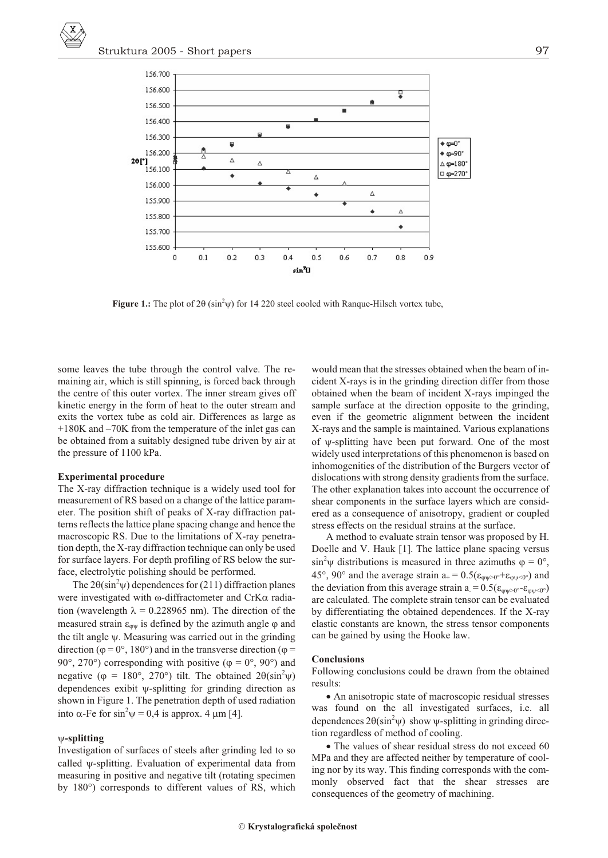

Figure 1.: The plot of 2 (sin<sup>2</sup>) for 14 220 steel cooled with Ranque-Hilsch vortex tube,

some leaves the tube through the control valve. The remaining air, which is still spinning, is forced back through the centre of this outer vortex. The inner stream gives off kinetic energy in the form of heat to the outer stream and exits the vortex tube as cold air. Differences as large as  $+180K$  and  $-70K$  from the temperature of the inlet gas can be obtained from a suitably designed tube driven by air at the pressure of 1100 kPa.

#### **Experimental procedure**

The X-ray diffraction technique is a widely used tool for measurement of RS based on a change of the lattice parameter. The position shift of peaks of X-ray diffraction patterns reflects the lattice plane spacing change and hence the macroscopic RS. Due to the limitations of X-ray penetration depth, the X-ray diffraction technique can only be used for surface layers. For depth profiling of RS below the surface, electrolytic polishing should be performed.

The 2  $\sin^2$  dependences for (211) diffraction planes were investigated with -diffractometer and CrK radiation (wavelength  $= 0.228965$  nm). The direction of the measured strain is defined by the azimuth angle and the tilt angle . Measuring was carried out in the grinding direction ( =  $0^\circ$ , 180°) and in the transverse direction ( = 90°, 270°) corresponding with positive ( =  $0^{\circ}$ , 90°) and negative ( = 180°, 270°) tilt. The obtained 2  $\sin^2$ dependences exibit -splitting for grinding direction as shown in Figure 1. The penetration depth of used radiation into -Fe for  $\sin^2 = 0.4$  is approx. 4 m [4].

### **-split ting**

Investigation of surfaces of steels after grinding led to so called -splitting. Evaluation of experimental data from measuring in positive and negative tilt (rotating specimen by 180°) corresponds to different values of RS, which would mean that the stresses obtained when the beam of incident X-rays is in the grinding direction differ from those obtained when the beam of incident X-rays impinged the sample surface at the direction opposite to the grinding, even if the geometric alignment between the incident X-rays and the sample is maintained. Various explanations of -splitting have been put forward. One of the most widely used interpretations of this phenomenon is based on inhomogenities of the distribution of the Burgers vector of dis locations with strong density gradients from the surface. The other explanation takes into account the occurrence of shear components in the surface layers which are considered as a consequence of anisotropy, gradient or coupled stress effects on the residual strains at the surface.

A method to evaluate strain tensor was proposed by H. Doelle and V. Hauk [1]. The lattice plane spacing versus  $\sin^2$  distributions is measured in three azimuths = 0°, 45°, 90° and the average strain  $a_+ = 0.5$ (  $\rightarrow 0^+$   $\rightarrow$   $\rightarrow$   $\rightarrow$   $\rightarrow$ the deviation from this average strain a =  $0.5$ (  $_{\text{0}}\text{e}$   $_{\text{0}}\text{e}$ ) are calculated. The complete strain tensor can be evaluated by differentiating the obtained dependences. If the X-ray elastic constants are known, the stress tensor components can be gained by using the Hooke law.

#### **Con clu sions**

Following conclusions could be drawn from the obtained results:

An anisotropic state of macroscopic residual stresses was found on the all investigated surfaces, i.e. all dependences  $2 \sin^2 \theta$  show -splitting in grinding direction regardless of method of cooling.

The values of shear residual stress do not exceed 60 MPa and they are affected neither by temperature of cooling nor by its way. This finding corresponds with the commonly observed fact that the shear stresses are consequences of the geometry of machining.